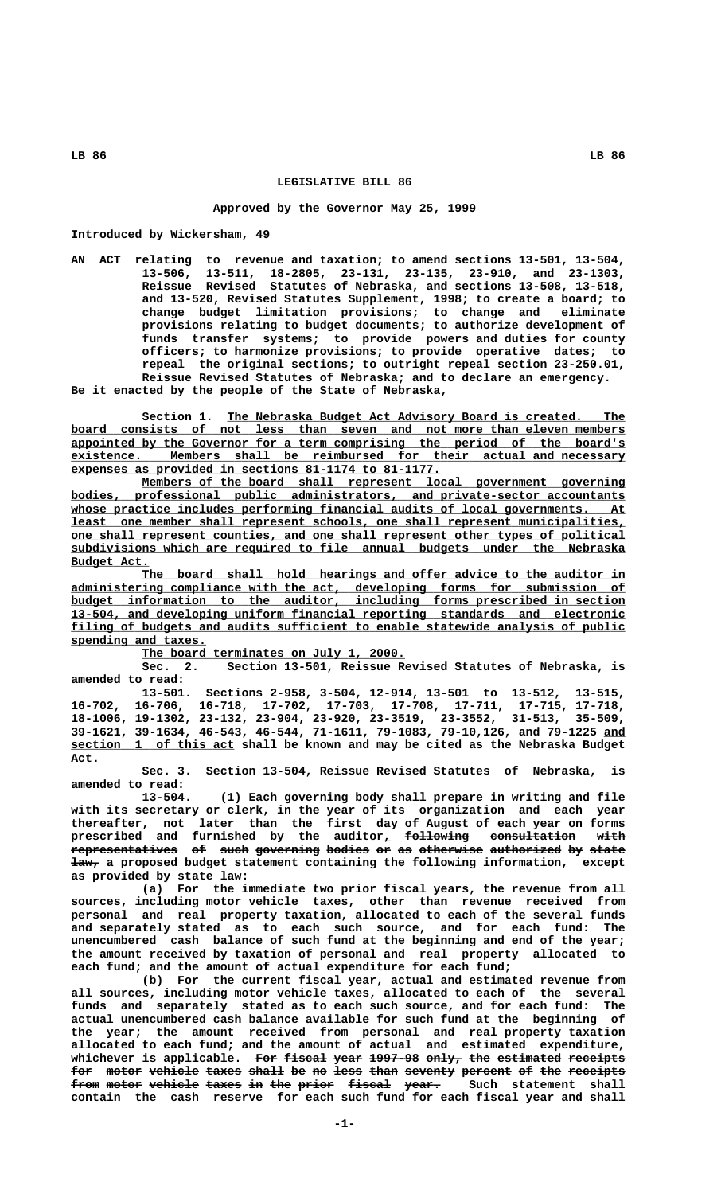## **LEGISLATIVE BILL 86**

## **Approved by the Governor May 25, 1999**

**Introduced by Wickersham, 49**

**AN ACT relating to revenue and taxation; to amend sections 13-501, 13-504, 13-506, 13-511, 18-2805, 23-131, 23-135, 23-910, and 23-1303, Reissue Revised Statutes of Nebraska, and sections 13-508, 13-518, and 13-520, Revised Statutes Supplement, 1998; to create a board; to change budget limitation provisions; to change and eliminate provisions relating to budget documents; to authorize development of funds transfer systems; to provide powers and duties for county officers; to harmonize provisions; to provide operative dates; to repeal the original sections; to outright repeal section 23-250.01, Reissue Revised Statutes of Nebraska; and to declare an emergency. Be it enacted by the people of the State of Nebraska,**

Section 1. The Nebraska Budget Act Advisory Board is created. The  **\_\_\_\_\_\_\_\_\_\_\_\_\_\_\_\_\_\_\_\_\_\_\_\_\_\_\_\_\_\_\_\_\_\_\_\_\_\_\_\_\_\_\_\_\_\_\_\_\_\_\_\_\_\_\_\_\_\_\_\_\_\_\_\_\_\_\_\_\_\_\_\_\_\_\_\_\_\_ board consists of not less than seven and not more than eleven members** appointed by the Governor for a term comprising the period of the board's  **\_\_\_\_\_\_\_\_\_\_\_\_\_\_\_\_\_\_\_\_\_\_\_\_\_\_\_\_\_\_\_\_\_\_\_\_\_\_\_\_\_\_\_\_\_\_\_\_\_\_\_\_\_\_\_\_\_\_\_\_\_\_\_\_\_\_\_\_\_\_\_\_\_\_\_\_\_\_ existence. Members shall be reimbursed for their actual and necessary \_\_\_\_\_\_\_\_\_\_\_\_\_\_\_\_\_\_\_\_\_\_\_\_\_\_\_\_\_\_\_\_\_\_\_\_\_\_\_\_\_\_\_\_\_\_\_\_\_\_\_\_ expenses as provided in sections 81-1174 to 81-1177.**

 **\_\_\_\_\_\_\_\_\_\_\_\_\_\_\_\_\_\_\_\_\_\_\_\_\_\_\_\_\_\_\_\_\_\_\_\_\_\_\_\_\_\_\_\_\_\_\_\_\_\_\_\_\_\_\_\_\_\_\_\_\_\_\_\_\_\_\_\_ Members of the board shall represent local government governing \_\_\_\_\_\_\_\_\_\_\_\_\_\_\_\_\_\_\_\_\_\_\_\_\_\_\_\_\_\_\_\_\_\_\_\_\_\_\_\_\_\_\_\_\_\_\_\_\_\_\_\_\_\_\_\_\_\_\_\_\_\_\_\_\_\_\_\_\_\_\_\_\_\_\_\_\_\_ bodies, professional public administrators, and private-sector accountants \_\_\_\_\_\_\_\_\_\_\_\_\_\_\_\_\_\_\_\_\_\_\_\_\_\_\_\_\_\_\_\_\_\_\_\_\_\_\_\_\_\_\_\_\_\_\_\_\_\_\_\_\_\_\_\_\_\_\_\_\_\_\_\_\_\_\_\_\_\_\_\_\_\_\_\_\_\_ whose practice includes performing financial audits of local governments. At \_\_\_\_\_\_\_\_\_\_\_\_\_\_\_\_\_\_\_\_\_\_\_\_\_\_\_\_\_\_\_\_\_\_\_\_\_\_\_\_\_\_\_\_\_\_\_\_\_\_\_\_\_\_\_\_\_\_\_\_\_\_\_\_\_\_\_\_\_\_\_\_\_\_\_\_\_\_ least one member shall represent schools, one shall represent municipalities, \_\_\_\_\_\_\_\_\_\_\_\_\_\_\_\_\_\_\_\_\_\_\_\_\_\_\_\_\_\_\_\_\_\_\_\_\_\_\_\_\_\_\_\_\_\_\_\_\_\_\_\_\_\_\_\_\_\_\_\_\_\_\_\_\_\_\_\_\_\_\_\_\_\_\_\_\_\_ one shall represent counties, and one shall represent other types of political \_\_\_\_\_\_\_\_\_\_\_\_\_\_\_\_\_\_\_\_\_\_\_\_\_\_\_\_\_\_\_\_\_\_\_\_\_\_\_\_\_\_\_\_\_\_\_\_\_\_\_\_\_\_\_\_\_\_\_\_\_\_\_\_\_\_\_\_\_\_\_\_\_\_\_\_\_\_ subdivisions which are required to file annual budgets under the Nebraska Budget Act. \_\_\_\_\_\_\_\_\_\_\_**

The board shall hold hearings and offer advice to the auditor in  **\_\_\_\_\_\_\_\_\_\_\_\_\_\_\_\_\_\_\_\_\_\_\_\_\_\_\_\_\_\_\_\_\_\_\_\_\_\_\_\_\_\_\_\_\_\_\_\_\_\_\_\_\_\_\_\_\_\_\_\_\_\_\_\_\_\_\_\_\_\_\_\_\_\_\_\_\_\_ administering compliance with the act, developing forms for submission of \_\_\_\_\_\_\_\_\_\_\_\_\_\_\_\_\_\_\_\_\_\_\_\_\_\_\_\_\_\_\_\_\_\_\_\_\_\_\_\_\_\_\_\_\_\_\_\_\_\_\_\_\_\_\_\_\_\_\_\_\_\_\_\_\_\_\_\_\_\_\_\_\_\_\_\_\_\_ budget information to the auditor, including forms prescribed in section \_\_\_\_\_\_\_\_\_\_\_\_\_\_\_\_\_\_\_\_\_\_\_\_\_\_\_\_\_\_\_\_\_\_\_\_\_\_\_\_\_\_\_\_\_\_\_\_\_\_\_\_\_\_\_\_\_\_\_\_\_\_\_\_\_\_\_\_\_\_\_\_\_\_\_\_\_\_ 13-504, and developing uniform financial reporting standards and electronic \_\_\_\_\_\_\_\_\_\_\_\_\_\_\_\_\_\_\_\_\_\_\_\_\_\_\_\_\_\_\_\_\_\_\_\_\_\_\_\_\_\_\_\_\_\_\_\_\_\_\_\_\_\_\_\_\_\_\_\_\_\_\_\_\_\_\_\_\_\_\_\_\_\_\_\_\_\_ filing of budgets and audits sufficient to enable statewide analysis of public \_\_\_\_\_\_\_\_\_\_\_\_\_\_\_\_\_\_\_ spending and taxes.**

 **\_\_\_\_\_\_\_\_\_\_\_\_\_\_\_\_\_\_\_\_\_\_\_\_\_\_\_\_\_\_\_\_\_\_\_\_\_ The board terminates on July 1, 2000.**

**Sec. 2. Section 13-501, Reissue Revised Statutes of Nebraska, is amended to read:**

**13-501. Sections 2-958, 3-504, 12-914, 13-501 to 13-512, 13-515, 16-702, 16-706, 16-718, 17-702, 17-703, 17-708, 17-711, 17-715, 17-718, 18-1006, 19-1302, 23-132, 23-904, 23-920, 23-3519, 23-3552, 31-513, 35-509, 39-1621, 39-1634, 46-543, 46-544, 71-1611, 79-1083, 79-10,126, and 79-1225 and \_\_\_ \_\_\_\_\_\_\_\_\_\_\_\_\_\_\_\_\_\_\_\_\_\_\_ section 1 of this act shall be known and may be cited as the Nebraska Budget Act.**

**Sec. 3. Section 13-504, Reissue Revised Statutes of Nebraska, is amended to read:**

**13-504. (1) Each governing body shall prepare in writing and file with its secretary or clerk, in the year of its organization and each year thereafter, not later than the first day of August of each year on forms prescribed and furnished by the auditor, following consultation with \_ ————————— ———————————— ——— representatives of such governing bodies or as otherwise authorized by state ——————————————— —— ———— ————————— —————— —— —— ————————— —————————— —— —————**  $\frac{1}{4}$  a proposed budget statement containing the following information, except **as provided by state law:**

**(a) For the immediate two prior fiscal years, the revenue from all sources, including motor vehicle taxes, other than revenue received from personal and real property taxation, allocated to each of the several funds and separately stated as to each such source, and for each fund: The unencumbered cash balance of such fund at the beginning and end of the year; the amount received by taxation of personal and real property allocated to each fund; and the amount of actual expenditure for each fund;**

**(b) For the current fiscal year, actual and estimated revenue from all sources, including motor vehicle taxes, allocated to each of the several funds and separately stated as to each such source, and for each fund: The actual unencumbered cash balance available for such fund at the beginning of the year; the amount received from personal and real property taxation allocated to each fund; and the amount of actual and estimated expenditure, whichever is applicable. For fiscal year 1997-98 only, the estimated receipts ——— —————— ———— ——————— ————— ——— ————————— ——————— for motor vehicle taxes shall be no less than seventy percent of the receipts ——— ————— ——————— ————— ————— —— —— ———— ———— ——————— ——————— —— ——— ————————**  $\textbf{f}$  rotor vehicle taxes in the prior fiscal year. Such statement shall **contain the cash reserve for each such fund for each fiscal year and shall**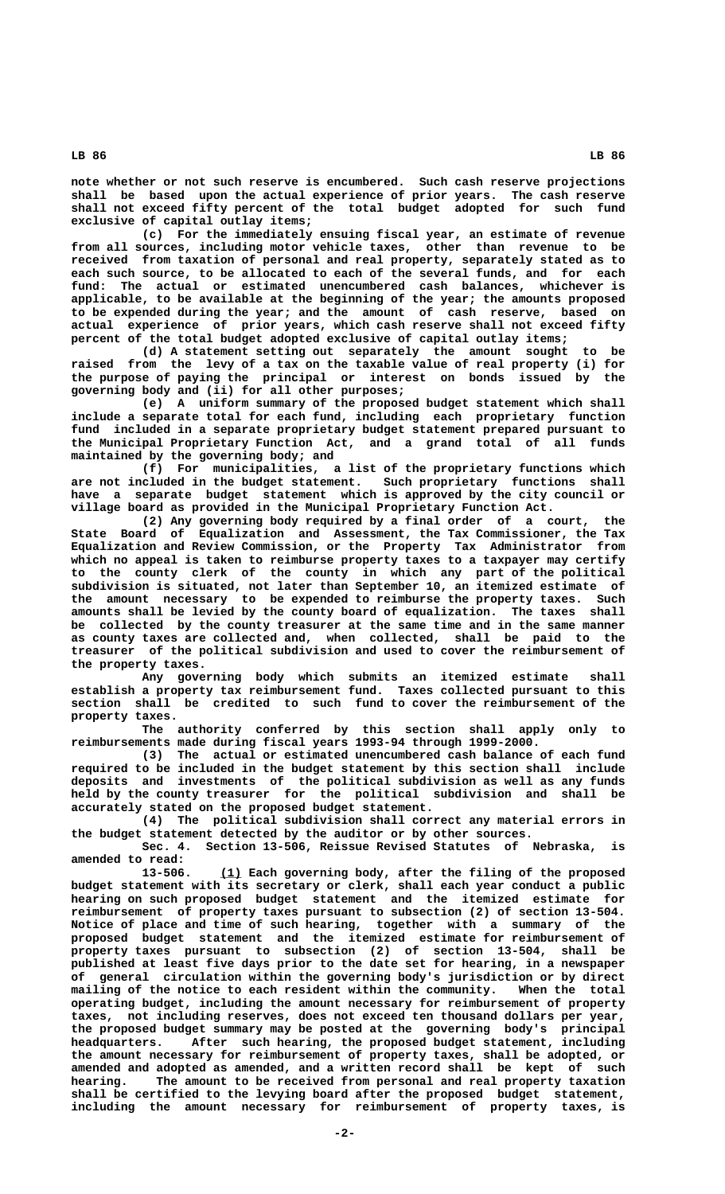**note whether or not such reserve is encumbered. Such cash reserve projections shall be based upon the actual experience of prior years. The cash reserve shall not exceed fifty percent of the total budget adopted for such fund exclusive of capital outlay items;**

**(c) For the immediately ensuing fiscal year, an estimate of revenue from all sources, including motor vehicle taxes, other than revenue to be received from taxation of personal and real property, separately stated as to each such source, to be allocated to each of the several funds, and for each fund: The actual or estimated unencumbered cash balances, whichever is applicable, to be available at the beginning of the year; the amounts proposed to be expended during the year; and the amount of cash reserve, based on actual experience of prior years, which cash reserve shall not exceed fifty percent of the total budget adopted exclusive of capital outlay items;**

**(d) A statement setting out separately the amount sought to be raised from the levy of a tax on the taxable value of real property (i) for the purpose of paying the principal or interest on bonds issued by the governing body and (ii) for all other purposes;**

**(e) A uniform summary of the proposed budget statement which shall include a separate total for each fund, including each proprietary function fund included in a separate proprietary budget statement prepared pursuant to the Municipal Proprietary Function Act, and a grand total of all funds maintained by the governing body; and**

**(f) For municipalities, a list of the proprietary functions which are not included in the budget statement. Such proprietary functions shall have a separate budget statement which is approved by the city council or village board as provided in the Municipal Proprietary Function Act.**

**(2) Any governing body required by a final order of a court, the State Board of Equalization and Assessment, the Tax Commissioner, the Tax Equalization and Review Commission, or the Property Tax Administrator from which no appeal is taken to reimburse property taxes to a taxpayer may certify to the county clerk of the county in which any part of the political subdivision is situated, not later than September 10, an itemized estimate of the amount necessary to be expended to reimburse the property taxes. Such amounts shall be levied by the county board of equalization. The taxes shall be collected by the county treasurer at the same time and in the same manner as county taxes are collected and, when collected, shall be paid to the treasurer of the political subdivision and used to cover the reimbursement of the property taxes.**

**Any governing body which submits an itemized estimate shall establish a property tax reimbursement fund. Taxes collected pursuant to this section shall be credited to such fund to cover the reimbursement of the property taxes.**

**The authority conferred by this section shall apply only to reimbursements made during fiscal years 1993-94 through 1999-2000.**

**(3) The actual or estimated unencumbered cash balance of each fund required to be included in the budget statement by this section shall include deposits and investments of the political subdivision as well as any funds held by the county treasurer for the political subdivision and shall be accurately stated on the proposed budget statement.**

**(4) The political subdivision shall correct any material errors in the budget statement detected by the auditor or by other sources.**

**Sec. 4. Section 13-506, Reissue Revised Statutes of Nebraska, is amended to read:**

 **\_\_\_ 13-506. (1) Each governing body, after the filing of the proposed budget statement with its secretary or clerk, shall each year conduct a public hearing on such proposed budget statement and the itemized estimate for reimbursement of property taxes pursuant to subsection (2) of section 13-504. Notice of place and time of such hearing, together with a summary of the proposed budget statement and the itemized estimate for reimbursement of property taxes pursuant to subsection (2) of section 13-504, shall be published at least five days prior to the date set for hearing, in a newspaper of general circulation within the governing body's jurisdiction or by direct mailing of the notice to each resident within the community. When the total operating budget, including the amount necessary for reimbursement of property taxes, not including reserves, does not exceed ten thousand dollars per year, the proposed budget summary may be posted at the governing body's principal headquarters. After such hearing, the proposed budget statement, including the amount necessary for reimbursement of property taxes, shall be adopted, or amended and adopted as amended, and a written record shall be kept of such hearing. The amount to be received from personal and real property taxation shall be certified to the levying board after the proposed budget statement, including the amount necessary for reimbursement of property taxes, is**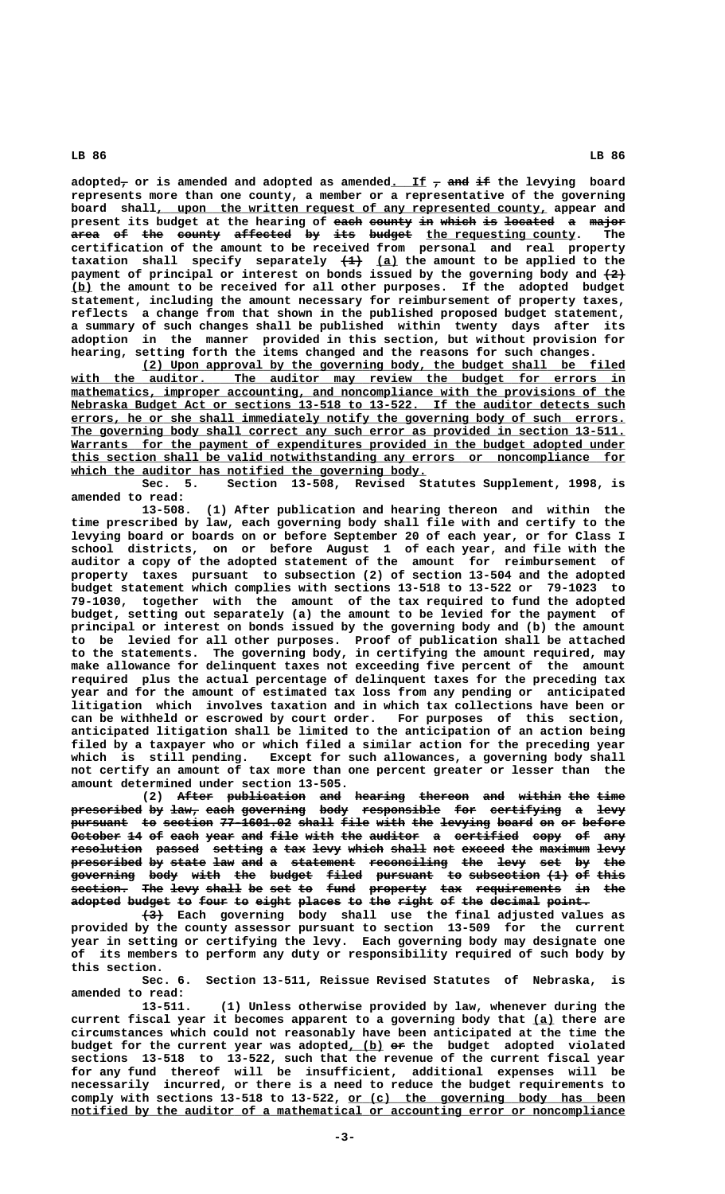adopted<sub>7</sub> or is amended and adopted as amended. If  $_7$  and if the levying board **represents more than one county, a member or a representative of the governing** board shall, upon the written request of any represented county, appear and present its budget at the hearing of each county in which is located a major area of the county affected by its budget the requesting county. The **certification of the amount to be received from personal and real property** taxation shall specify separately  $\left(\frac{1}{2}\right)$  (a) the amount to be applied to the **payment of principal or interest on bonds issued by the governing body and**  $\{2\}$  **\_\_\_ (b) the amount to be received for all other purposes. If the adopted budget statement, including the amount necessary for reimbursement of property taxes, reflects a change from that shown in the published proposed budget statement, a summary of such changes shall be published within twenty days after its adoption in the manner provided in this section, but without provision for hearing, setting forth the items changed and the reasons for such changes.**

> **\_\_\_\_\_\_\_\_\_\_\_\_\_\_\_\_\_\_\_\_\_\_\_\_\_\_\_\_\_\_\_\_\_\_\_\_\_\_\_\_\_\_\_\_\_\_\_\_\_\_\_\_\_\_\_\_\_\_\_\_\_\_\_\_\_\_\_\_ (2) Upon approval by the governing body, the budget shall be filed** with the auditor. The auditor may review the budget for errors in  $mathematics, improper accounting, and noncompliance with the provisions of the$ **Nebraska Budget Act or sections 13-518 to 13-522. If the auditor detects such** errors, he or she shall immediately notify the governing body of such errors. The governing body shall correct any such error as provided in section 13-511. **Warrants** for the payment of expenditures provided in the budget adopted under  **\_\_\_\_\_\_\_\_\_\_\_\_\_\_\_\_\_\_\_\_\_\_\_\_\_\_\_\_\_\_\_\_\_\_\_\_\_\_\_\_\_\_\_\_\_\_\_\_\_\_\_\_\_\_\_\_\_\_\_\_\_\_\_\_\_\_\_\_\_\_\_\_\_\_\_\_\_\_ this section shall be valid notwithstanding any errors or noncompliance for** which the auditor has notified the governing body.

> **Sec. 5. Section 13-508, Revised Statutes Supplement, 1998, is amended to read:**

> **13-508. (1) After publication and hearing thereon and within the time prescribed by law, each governing body shall file with and certify to the levying board or boards on or before September 20 of each year, or for Class I school districts, on or before August 1 of each year, and file with the auditor a copy of the adopted statement of the amount for reimbursement of property taxes pursuant to subsection (2) of section 13-504 and the adopted budget statement which complies with sections 13-518 to 13-522 or 79-1023 to 79-1030, together with the amount of the tax required to fund the adopted budget, setting out separately (a) the amount to be levied for the payment of principal or interest on bonds issued by the governing body and (b) the amount to be levied for all other purposes. Proof of publication shall be attached to the statements. The governing body, in certifying the amount required, may make allowance for delinquent taxes not exceeding five percent of the amount required plus the actual percentage of delinquent taxes for the preceding tax year and for the amount of estimated tax loss from any pending or anticipated litigation which involves taxation and in which tax collections have been or can be withheld or escrowed by court order. For purposes of this section, anticipated litigation shall be limited to the anticipation of an action being filed by a taxpayer who or which filed a similar action for the preceding year which is still pending. Except for such allowances, a governing body shall not certify an amount of tax more than one percent greater or lesser than the amount determined under section 13-505.**

> **(2)** After publication and hearing thereon and within the time **prescribed by law, each governing body responsible for certifying a levy —————————— —— ———— ———— ————————— ———— ——————————— ——— —————————— — ———** pursuant to section 77-1601.02 shall file with the levying board on or before October 14 of each year and file with the auditor a certified copy of any resolution passed setting a tax levy which shall not exceed the maximum levy **prescribed by state law and a statement reconciling the levy set by the —————————— —— ————— ——— ——— — ————————— ——————————— ——— ———— ——— —— —— governing body with the budget filed pursuant to subsection (1) of this ————————— ———— ———— ——— —————— ————— ———————— —— —————————— ——— —— ——— section. The levy shall be set to fund property tax requirements in the ———————— ——— ———— ————— —— ——— —— ———— ———————— ——— ———————————— —— ——** adopted budget to four to eight places to the right of the decimal point.

> **——— (3) Each governing body shall use the final adjusted values as provided by the county assessor pursuant to section 13-509 for the current year in setting or certifying the levy. Each governing body may designate one of its members to perform any duty or responsibility required of such body by this section.**

> **Sec. 6. Section 13-511, Reissue Revised Statutes of Nebraska, is amended to read:**

> **13-511. (1) Unless otherwise provided by law, whenever during the** current fiscal year it becomes apparent to a governing body that (a) there are **circumstances which could not reasonably have been anticipated at the time the** budget for the current year was adopted, (b) or the budget adopted violated **sections 13-518 to 13-522, such that the revenue of the current fiscal year for any fund thereof will be insufficient, additional expenses will be necessarily incurred, or there is a need to reduce the budget requirements to** comply with sections 13-518 to 13-522, or (c) the governing body has been notified by the auditor of a mathematical or accounting error or noncompliance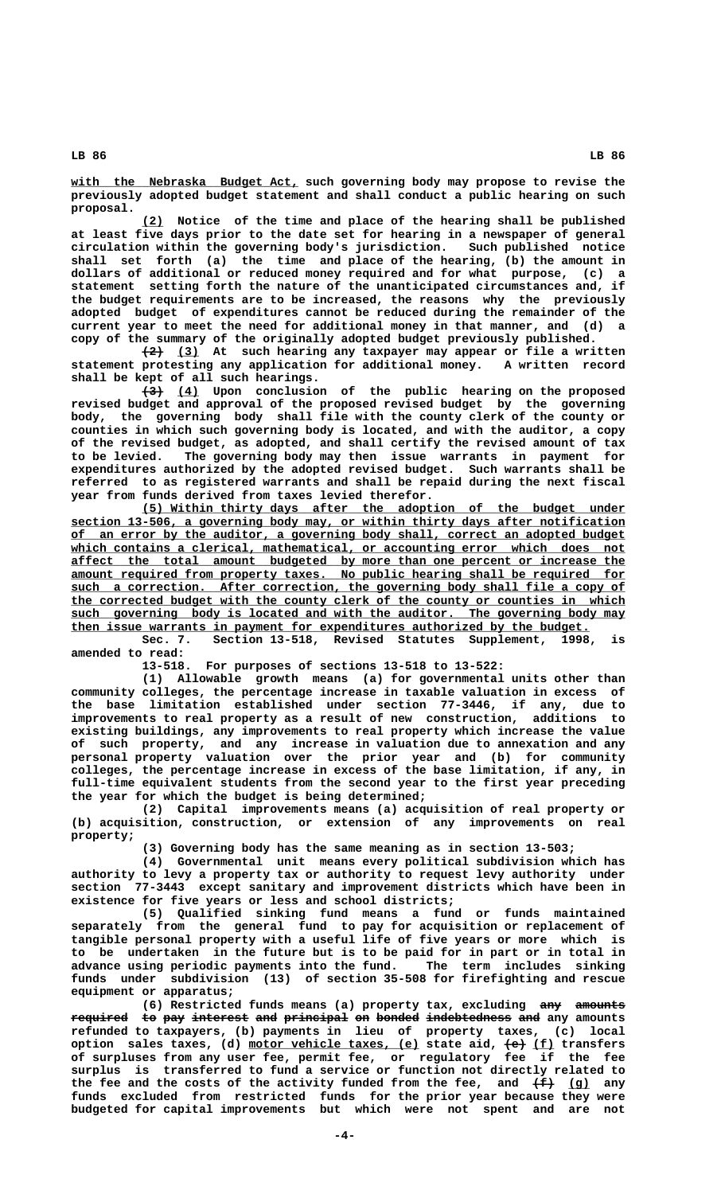$with the Nebraska Budget Act, such governing body may propose to revise the$ </u> **previously adopted budget statement and shall conduct a public hearing on such proposal.**

 **\_\_\_ (2) Notice of the time and place of the hearing shall be published at least five days prior to the date set for hearing in a newspaper of general circulation within the governing body's jurisdiction. Such published notice shall set forth (a) the time and place of the hearing, (b) the amount in dollars of additional or reduced money required and for what purpose, (c) a statement setting forth the nature of the unanticipated circumstances and, if the budget requirements are to be increased, the reasons why the previously adopted budget of expenditures cannot be reduced during the remainder of the current year to meet the need for additional money in that manner, and (d) a copy of the summary of the originally adopted budget previously published.**

 $\overline{(2)}$  (3) At such hearing any taxpayer may appear or file a written **statement protesting any application for additional money. A written record shall be kept of all such hearings.**

 **——— \_\_\_ (3) (4) Upon conclusion of the public hearing on the proposed revised budget and approval of the proposed revised budget by the governing body, the governing body shall file with the county clerk of the county or counties in which such governing body is located, and with the auditor, a copy of the revised budget, as adopted, and shall certify the revised amount of tax to be levied. The governing body may then issue warrants in payment for expenditures authorized by the adopted revised budget. Such warrants shall be referred to as registered warrants and shall be repaid during the next fiscal year from funds derived from taxes levied therefor.**

 **\_\_\_\_\_\_\_\_\_\_\_\_\_\_\_\_\_\_\_\_\_\_\_\_\_\_\_\_\_\_\_\_\_\_\_\_\_\_\_\_\_\_\_\_\_\_\_\_\_\_\_\_\_\_\_\_\_\_\_\_\_\_\_\_\_\_\_\_ (5) Within thirty days after the adoption of the budget under \_\_\_\_\_\_\_\_\_\_\_\_\_\_\_\_\_\_\_\_\_\_\_\_\_\_\_\_\_\_\_\_\_\_\_\_\_\_\_\_\_\_\_\_\_\_\_\_\_\_\_\_\_\_\_\_\_\_\_\_\_\_\_\_\_\_\_\_\_\_\_\_\_\_\_\_\_\_ section 13-506, a governing body may, or within thirty days after notification \_\_\_\_\_\_\_\_\_\_\_\_\_\_\_\_\_\_\_\_\_\_\_\_\_\_\_\_\_\_\_\_\_\_\_\_\_\_\_\_\_\_\_\_\_\_\_\_\_\_\_\_\_\_\_\_\_\_\_\_\_\_\_\_\_\_\_\_\_\_\_\_\_\_\_\_\_\_ of an error by the auditor, a governing body shall, correct an adopted budget \_\_\_\_\_\_\_\_\_\_\_\_\_\_\_\_\_\_\_\_\_\_\_\_\_\_\_\_\_\_\_\_\_\_\_\_\_\_\_\_\_\_\_\_\_\_\_\_\_\_\_\_\_\_\_\_\_\_\_\_\_\_\_\_\_\_\_\_\_\_\_\_\_\_\_\_\_\_ which contains a clerical, mathematical, or accounting error which does not \_\_\_\_\_\_\_\_\_\_\_\_\_\_\_\_\_\_\_\_\_\_\_\_\_\_\_\_\_\_\_\_\_\_\_\_\_\_\_\_\_\_\_\_\_\_\_\_\_\_\_\_\_\_\_\_\_\_\_\_\_\_\_\_\_\_\_\_\_\_\_\_\_\_\_\_\_\_ affect the total amount budgeted by more than one percent or increase the \_\_\_\_\_\_\_\_\_\_\_\_\_\_\_\_\_\_\_\_\_\_\_\_\_\_\_\_\_\_\_\_\_\_\_\_\_\_\_\_\_\_\_\_\_\_\_\_\_\_\_\_\_\_\_\_\_\_\_\_\_\_\_\_\_\_\_\_\_\_\_\_\_\_\_\_\_\_ amount required from property taxes. No public hearing shall be required for \_\_\_\_\_\_\_\_\_\_\_\_\_\_\_\_\_\_\_\_\_\_\_\_\_\_\_\_\_\_\_\_\_\_\_\_\_\_\_\_\_\_\_\_\_\_\_\_\_\_\_\_\_\_\_\_\_\_\_\_\_\_\_\_\_\_\_\_\_\_\_\_\_\_\_\_\_\_ such a correction. After correction, the governing body shall file a copy of \_\_\_\_\_\_\_\_\_\_\_\_\_\_\_\_\_\_\_\_\_\_\_\_\_\_\_\_\_\_\_\_\_\_\_\_\_\_\_\_\_\_\_\_\_\_\_\_\_\_\_\_\_\_\_\_\_\_\_\_\_\_\_\_\_\_\_\_\_\_\_\_\_\_\_\_\_\_ the corrected budget with the county clerk of the county or counties in which** such governing body is located and with the auditor. The governing body may  **\_\_\_\_\_\_\_\_\_\_\_\_\_\_\_\_\_\_\_\_\_\_\_\_\_\_\_\_\_\_\_\_\_\_\_\_\_\_\_\_\_\_\_\_\_\_\_\_\_\_\_\_\_\_\_\_\_\_\_\_\_\_\_\_\_\_\_\_\_\_\_\_\_ then issue warrants in payment for expenditures authorized by the budget.**

Sec. 7. Section 13-518, Revised Statutes Supplement, 1998, **amended to read:**

**13-518. For purposes of sections 13-518 to 13-522:**

**(1) Allowable growth means (a) for governmental units other than community colleges, the percentage increase in taxable valuation in excess of the base limitation established under section 77-3446, if any, due to improvements to real property as a result of new construction, additions to existing buildings, any improvements to real property which increase the value of such property, and any increase in valuation due to annexation and any personal property valuation over the prior year and (b) for community colleges, the percentage increase in excess of the base limitation, if any, in full-time equivalent students from the second year to the first year preceding the year for which the budget is being determined;**

**(2) Capital improvements means (a) acquisition of real property or (b) acquisition, construction, or extension of any improvements on real property;**

**(3) Governing body has the same meaning as in section 13-503;**

**(4) Governmental unit means every political subdivision which has authority to levy a property tax or authority to request levy authority under section 77-3443 except sanitary and improvement districts which have been in existence for five years or less and school districts;**

**(5) Qualified sinking fund means a fund or funds maintained separately from the general fund to pay for acquisition or replacement of tangible personal property with a useful life of five years or more which is to be undertaken in the future but is to be paid for in part or in total in advance using periodic payments into the fund. The term includes sinking funds under subdivision (13) of section 35-508 for firefighting and rescue equipment or apparatus;**

(6) Restricted funds means (a) property tax, excluding  $\frac{amy}{amounts}$  $\textbf{required}$  to pay interest and principal on bonded indebtedness and any amounts **refunded to taxpayers, (b) payments in lieu of property taxes, (c) local \_\_\_\_\_\_\_\_\_\_\_\_\_\_\_\_\_\_\_\_\_\_\_\_ ——— \_\_\_ option sales taxes, (d) motor vehicle taxes, (e) state aid, (e) (f) transfers of surpluses from any user fee, permit fee, or regulatory fee if the fee surplus is transferred to fund a service or function not directly related to** the fee and the costs of the activity funded from the fee, and  $\overline{f}$  (g) any **funds excluded from restricted funds for the prior year because they were budgeted for capital improvements but which were not spent and are not**

 **-4-**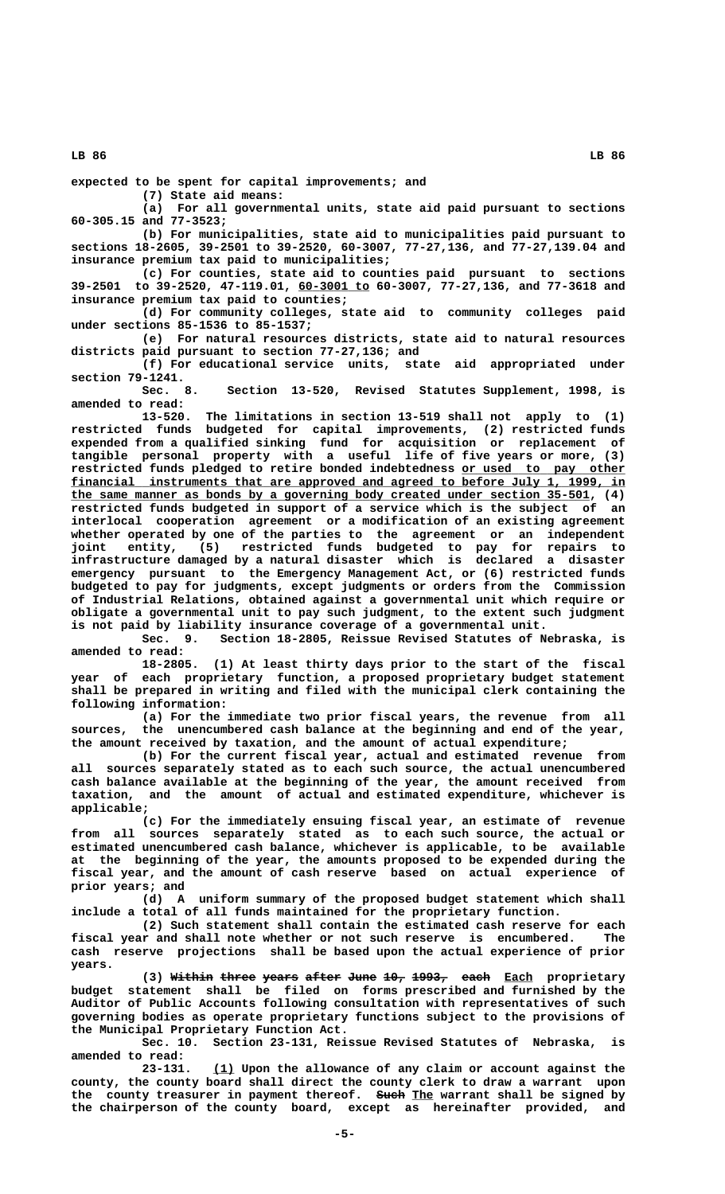**expected to be spent for capital improvements; and**

**(7) State aid means:**

**(a) For all governmental units, state aid paid pursuant to sections 60-305.15 and 77-3523;**

**(b) For municipalities, state aid to municipalities paid pursuant to sections 18-2605, 39-2501 to 39-2520, 60-3007, 77-27,136, and 77-27,139.04 and insurance premium tax paid to municipalities;**

**(c) For counties, state aid to counties paid pursuant to sections \_\_\_\_\_\_\_\_\_\_ 39-2501 to 39-2520, 47-119.01, 60-3001 to 60-3007, 77-27,136, and 77-3618 and insurance premium tax paid to counties;**

**(d) For community colleges, state aid to community colleges paid under sections 85-1536 to 85-1537;**

**(e) For natural resources districts, state aid to natural resources districts paid pursuant to section 77-27,136; and**

**(f) For educational service units, state aid appropriated under section 79-1241.**

Section 13-520, Revised Statutes Supplement, 1998, is **amended to read:**

**13-520. The limitations in section 13-519 shall not apply to (1) restricted funds budgeted for capital improvements, (2) restricted funds expended from a qualified sinking fund for acquisition or replacement of tangible personal property with a useful life of five years or more, (3)** restricted funds pledged to retire bonded indebtedness or used to pay other financial instruments that are approved and agreed to before July 1, 1999, in  **\_\_\_\_\_\_\_\_\_\_\_\_\_\_\_\_\_\_\_\_\_\_\_\_\_\_\_\_\_\_\_\_\_\_\_\_\_\_\_\_\_\_\_\_\_\_\_\_\_\_\_\_\_\_\_\_\_\_\_\_\_\_\_\_\_\_\_\_\_\_\_\_\_ the same manner as bonds by a governing body created under section 35-501, (4) restricted funds budgeted in support of a service which is the subject of an interlocal cooperation agreement or a modification of an existing agreement whether operated by one of the parties to the agreement or an independent joint entity, (5) restricted funds budgeted to pay for repairs to infrastructure damaged by a natural disaster which is declared a disaster emergency pursuant to the Emergency Management Act, or (6) restricted funds budgeted to pay for judgments, except judgments or orders from the Commission of Industrial Relations, obtained against a governmental unit which require or obligate a governmental unit to pay such judgment, to the extent such judgment is not paid by liability insurance coverage of a governmental unit.**

**Sec. 9. Section 18-2805, Reissue Revised Statutes of Nebraska, is amended to read:**

**18-2805. (1) At least thirty days prior to the start of the fiscal year of each proprietary function, a proposed proprietary budget statement shall be prepared in writing and filed with the municipal clerk containing the following information:**

**(a) For the immediate two prior fiscal years, the revenue from all sources, the unencumbered cash balance at the beginning and end of the year, the amount received by taxation, and the amount of actual expenditure;**

**(b) For the current fiscal year, actual and estimated revenue from all sources separately stated as to each such source, the actual unencumbered cash balance available at the beginning of the year, the amount received from taxation, and the amount of actual and estimated expenditure, whichever is applicable;**

**(c) For the immediately ensuing fiscal year, an estimate of revenue from all sources separately stated as to each such source, the actual or estimated unencumbered cash balance, whichever is applicable, to be available at the beginning of the year, the amounts proposed to be expended during the fiscal year, and the amount of cash reserve based on actual experience of prior years; and**

**(d) A uniform summary of the proposed budget statement which shall include a total of all funds maintained for the proprietary function.**

**(2) Such statement shall contain the estimated cash reserve for each fiscal year and shall note whether or not such reserve is encumbered. The cash reserve projections shall be based upon the actual experience of prior years.**

**(3) Within three years after June 10, 1993, each Each proprietary budget statement shall be filed on forms prescribed and furnished by the Auditor of Public Accounts following consultation with representatives of such governing bodies as operate proprietary functions subject to the provisions of the Municipal Proprietary Function Act.**

**Sec. 10. Section 23-131, Reissue Revised Statutes of Nebraska, is amended to read:**

 **\_\_\_ 23-131. (1) Upon the allowance of any claim or account against the county, the county board shall direct the county clerk to draw a warrant upon** the county treasurer in payment thereof. Such The warrant shall be signed by **the chairperson of the county board, except as hereinafter provided, and**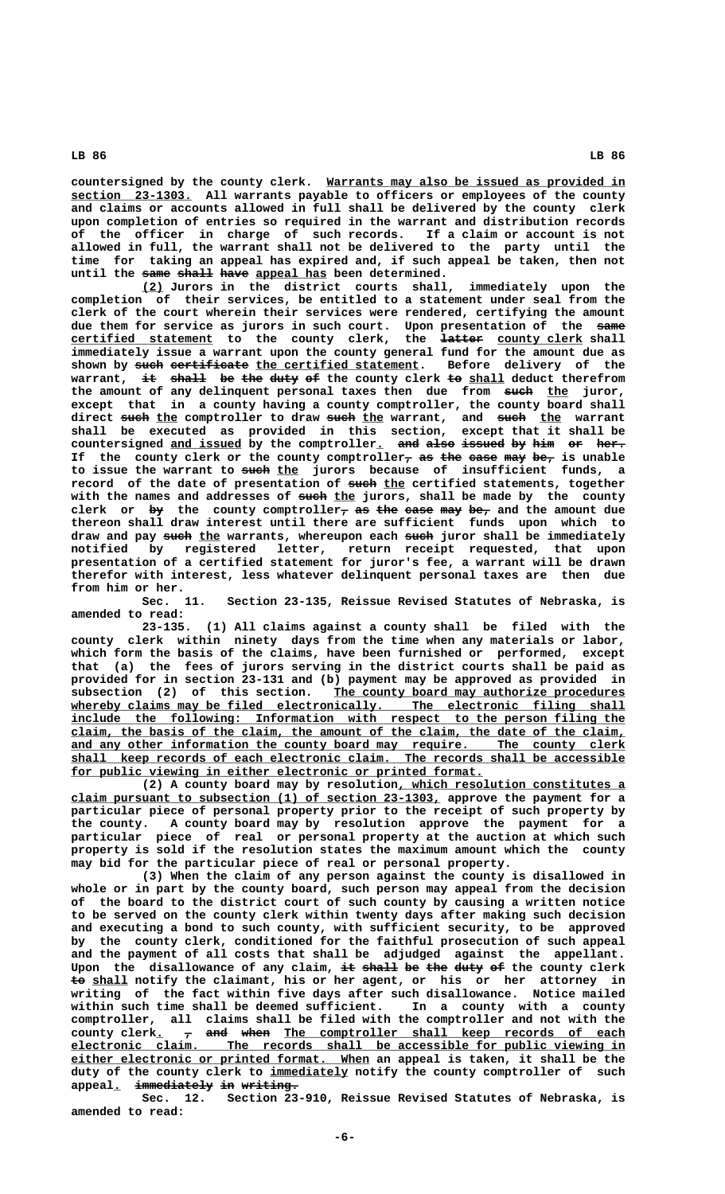countersigned by the county clerk. Warrants may also be issued as provided in  **\_\_\_\_\_\_\_\_\_\_\_\_\_\_\_\_\_ section 23-1303. All warrants payable to officers or employees of the county and claims or accounts allowed in full shall be delivered by the county clerk upon completion of entries so required in the warrant and distribution records of the officer in charge of such records. If a claim or account is not allowed in full, the warrant shall not be delivered to the party until the time for taking an appeal has expired and, if such appeal be taken, then not** until the same shall have appeal has been determined.

 **\_\_\_ (2) Jurors in the district courts shall, immediately upon the completion of their services, be entitled to a statement under seal from the clerk of the court wherein their services were rendered, certifying the amount** due them for service as jurors in such court. Upon presentation of the same  $certified statement to the country clerk, the ~~latter~~ country clerk$ </u> **immediately issue a warrant upon the county general fund for the amount due as** shown by such certificate the certified statement. warrant, it shall be the duty of the county clerk to shall deduct therefrom the amount of any delinquent personal taxes then due from such the juror, **except that in a county having a county comptroller, the county board shall ———— \_\_\_ ———— \_\_\_ ———— \_\_\_ direct such the comptroller to draw such the warrant, and such the warrant shall be executed as provided in this section, except that it shall be countersigned and issued by the comptroller. and also issued by him or her. \_\_\_\_\_\_\_\_\_\_ \_ ——— ———— —————— —— ——— —— ————** If the county clerk or the county comptroller<sub>7</sub> as the ease may be<sub>7</sub> is unable to issue the warrant to such the jurors because of insufficient funds, a record of the date of presentation of such the certified statements, together with the names and addresses of such the jurors, shall be made by the county clerk or  $by$  the county comptroller<sub>7</sub> as the ease may be<sub>7</sub> and the amount due **thereon shall draw interest until there are sufficient funds upon which to** draw and pay such the warrants, whereupon each such juror shall be immediately **notified by registered letter, return receipt requested, that upon presentation of a certified statement for juror's fee, a warrant will be drawn therefor with interest, less whatever delinquent personal taxes are then due from him or her.**

Section 23-135, Reissue Revised Statutes of Nebraska, is **amended to read:**

**23-135. (1) All claims against a county shall be filed with the county clerk within ninety days from the time when any materials or labor, which form the basis of the claims, have been furnished or performed, except that (a) the fees of jurors serving in the district courts shall be paid as provided for in section 23-131 and (b) payment may be approved as provided in** subsection (2) of this section. The county board may authorize procedures whereby claims may be filed electronically. The electronic filing shall  **\_\_\_\_\_\_\_\_\_\_\_\_\_\_\_\_\_\_\_\_\_\_\_\_\_\_\_\_\_\_\_\_\_\_\_\_\_\_\_\_\_\_\_\_\_\_\_\_\_\_\_\_\_\_\_\_\_\_\_\_\_\_\_\_\_\_\_\_\_\_\_\_\_\_\_\_\_\_ include the following: Information with respect to the person filing the \_\_\_\_\_\_\_\_\_\_\_\_\_\_\_\_\_\_\_\_\_\_\_\_\_\_\_\_\_\_\_\_\_\_\_\_\_\_\_\_\_\_\_\_\_\_\_\_\_\_\_\_\_\_\_\_\_\_\_\_\_\_\_\_\_\_\_\_\_\_\_\_\_\_\_\_\_\_ claim, the basis of the claim, the amount of the claim, the date of the claim,** and any other information the county board may require. The county clerk  **\_\_\_\_\_\_\_\_\_\_\_\_\_\_\_\_\_\_\_\_\_\_\_\_\_\_\_\_\_\_\_\_\_\_\_\_\_\_\_\_\_\_\_\_\_\_\_\_\_\_\_\_\_\_\_\_\_\_\_\_\_\_\_\_\_\_\_\_\_\_\_\_\_\_\_\_\_\_ shall keep records of each electronic claim. The records shall be accessible \_\_\_\_\_\_\_\_\_\_\_\_\_\_\_\_\_\_\_\_\_\_\_\_\_\_\_\_\_\_\_\_\_\_\_\_\_\_\_\_\_\_\_\_\_\_\_\_\_\_\_\_\_\_\_\_\_\_ for public viewing in either electronic or printed format.**

**(2) A county board may by resolution, which resolution constitutes a \_\_\_\_\_\_\_\_\_\_\_\_\_\_\_\_\_\_\_\_\_\_\_\_\_\_\_\_\_\_\_\_ \_\_\_\_\_\_\_\_\_\_\_\_\_\_\_\_\_\_\_\_\_\_\_\_\_\_\_\_\_\_\_\_\_\_\_\_\_\_\_\_\_\_\_\_\_\_\_\_\_\_\_\_ claim pursuant to subsection (1) of section 23-1303, approve the payment for a particular piece of personal property prior to the receipt of such property by the county. A county board may by resolution approve the payment for a particular piece of real or personal property at the auction at which such property is sold if the resolution states the maximum amount which the county may bid for the particular piece of real or personal property.**

**(3) When the claim of any person against the county is disallowed in whole or in part by the county board, such person may appeal from the decision of the board to the district court of such county by causing a written notice to be served on the county clerk within twenty days after making such decision and executing a bond to such county, with sufficient security, to be approved by the county clerk, conditioned for the faithful prosecution of such appeal and the payment of all costs that shall be adjudged against the appellant.** Upon the disallowance of any claim, it shall be the duty of the county clerk  **—— \_\_\_\_\_ to shall notify the claimant, his or her agent, or his or her attorney in writing of the fact within five days after such disallowance. Notice mailed** within such time shall be deemed sufficient. **comptroller, all claims shall be filed with the comptroller and not with the** county clerk<u>.</u>  $\tau$  and when The comptroller shall keep records of each  **\_\_\_\_\_\_\_\_\_\_\_\_\_\_\_\_\_\_\_\_\_\_\_\_\_\_\_\_\_\_\_\_\_\_\_\_\_\_\_\_\_\_\_\_\_\_\_\_\_\_\_\_\_\_\_\_\_\_\_\_\_\_\_\_\_\_\_\_\_\_\_\_\_\_\_\_\_\_ electronic claim. The records shall be accessible for public viewing in \_\_\_\_\_\_\_\_\_\_\_\_\_\_\_\_\_\_\_\_\_\_\_\_\_\_\_\_\_\_\_\_\_\_\_\_\_\_\_\_\_\_ either electronic or printed format. When an appeal is taken, it shall be the** duty of the county clerk to immediately notify the county comptroller of such appeal. immediately in writing.

**Sec. 12. Section 23-910, Reissue Revised Statutes of Nebraska, is amended to read:**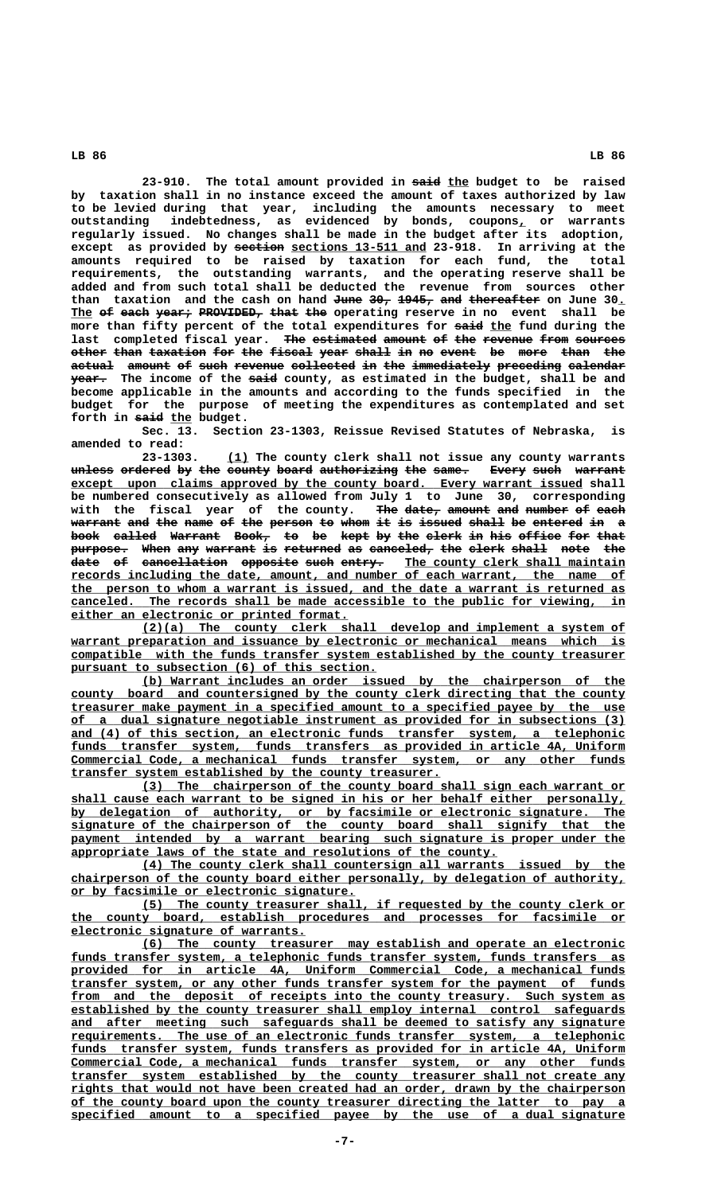23-910. The total amount provided in said the budget to be raised **by taxation shall in no instance exceed the amount of taxes authorized by law to be levied during that year, including the amounts necessary to meet outstanding indebtedness, as evidenced by bonds, coupons, or warrants \_ regularly issued. No changes shall be made in the budget after its adoption,** except as provided by <del>section</del> <u>sections 13-511 and</u> 23-918. In arriving at the **amounts required to be raised by taxation for each fund, the total requirements, the outstanding warrants, and the operating reserve shall be added and from such total shall be deducted the revenue from sources other** than taxation and the cash on hand <del>June 30, 1945, and thereafter</del> on June 30. The of each year, PROVIDED, that the operating reserve in no event shall be more than fifty percent of the total expenditures for said the fund during the last completed fiscal year. The estimated amount of the revenue from sources other than taxation for the fiscal year shall in no event be more than the actual amount of such revenue collected in the immediately preceding calendar  **————— ———— year. The income of the said county, as estimated in the budget, shall be and become applicable in the amounts and according to the funds specified in the budget for the purpose of meeting the expenditures as contemplated and set** forth in said the budget.

**Sec. 13. Section 23-1303, Reissue Revised Statutes of Nebraska, is amended to read:**

 **\_\_\_ 23-1303. (1) The county clerk shall not issue any county warrants** unless ordered by the county board authorizing the same. Every such warrant except upon claims approved by the county board. Every warrant issued shall **be numbered consecutively as allowed from July 1 to June 30, corresponding** with the fiscal year of the county. The date<sub>r</sub> amount and number of each wider the contract term is the person to whom it is issued shall be entered in a **warrant and the name of the person to whom** it is issued shall be entered in a book called Warrant Book, to be kept by the clerk in his office for that purpose. When any warrant is returned as canceled, the clerk shall note the date of cancellation opposite such entry. The county clerk shall maintain  **\_\_\_\_\_\_\_\_\_\_\_\_\_\_\_\_\_\_\_\_\_\_\_\_\_\_\_\_\_\_\_\_\_\_\_\_\_\_\_\_\_\_\_\_\_\_\_\_\_\_\_\_\_\_\_\_\_\_\_\_\_\_\_\_\_\_\_\_\_\_\_\_\_\_\_\_\_\_ records including the date, amount, and number of each warrant, the name of \_\_\_\_\_\_\_\_\_\_\_\_\_\_\_\_\_\_\_\_\_\_\_\_\_\_\_\_\_\_\_\_\_\_\_\_\_\_\_\_\_\_\_\_\_\_\_\_\_\_\_\_\_\_\_\_\_\_\_\_\_\_\_\_\_\_\_\_\_\_\_\_\_\_\_\_\_\_ the person to whom a warrant is issued, and the date a warrant is returned as \_\_\_\_\_\_\_\_\_\_\_\_\_\_\_\_\_\_\_\_\_\_\_\_\_\_\_\_\_\_\_\_\_\_\_\_\_\_\_\_\_\_\_\_\_\_\_\_\_\_\_\_\_\_\_\_\_\_\_\_\_\_\_\_\_\_\_\_\_\_\_\_\_\_\_\_\_\_ canceled. The records shall be made accessible to the public for viewing, in \_\_\_\_\_\_\_\_\_\_\_\_\_\_\_\_\_\_\_\_\_\_\_\_\_\_\_\_\_\_\_\_\_\_\_\_\_\_\_ either an electronic or printed format.**

 **\_\_\_\_\_\_\_\_\_\_\_\_\_\_\_\_\_\_\_\_\_\_\_\_\_\_\_\_\_\_\_\_\_\_\_\_\_\_\_\_\_\_\_\_\_\_\_\_\_\_\_\_\_\_\_\_\_\_\_\_\_\_\_\_\_\_\_\_ (2)(a) The county clerk shall develop and implement a system of** warrant preparation and issuance by electronic or mechanical means which is  **\_\_\_\_\_\_\_\_\_\_\_\_\_\_\_\_\_\_\_\_\_\_\_\_\_\_\_\_\_\_\_\_\_\_\_\_\_\_\_\_\_\_\_\_\_\_\_\_\_\_\_\_\_\_\_\_\_\_\_\_\_\_\_\_\_\_\_\_\_\_\_\_\_\_\_\_\_\_ compatible with the funds transfer system established by the county treasurer** pursuant to subsection (6) of this section.

 **\_\_\_\_\_\_\_\_\_\_\_\_\_\_\_\_\_\_\_\_\_\_\_\_\_\_\_\_\_\_\_\_\_\_\_\_\_\_\_\_\_\_\_\_\_\_\_\_\_\_\_\_\_\_\_\_\_\_\_\_\_\_\_\_\_\_\_\_ (b) Warrant includes an order issued by the chairperson of the** county board and countersigned by the county clerk directing that the county  **\_\_\_\_\_\_\_\_\_\_\_\_\_\_\_\_\_\_\_\_\_\_\_\_\_\_\_\_\_\_\_\_\_\_\_\_\_\_\_\_\_\_\_\_\_\_\_\_\_\_\_\_\_\_\_\_\_\_\_\_\_\_\_\_\_\_\_\_\_\_\_\_\_\_\_\_\_\_ treasurer make payment in a specified amount to a specified payee by the use \_\_\_\_\_\_\_\_\_\_\_\_\_\_\_\_\_\_\_\_\_\_\_\_\_\_\_\_\_\_\_\_\_\_\_\_\_\_\_\_\_\_\_\_\_\_\_\_\_\_\_\_\_\_\_\_\_\_\_\_\_\_\_\_\_\_\_\_\_\_\_\_\_\_\_\_\_\_ of a dual signature negotiable instrument as provided for in subsections (3)** and (4) of this section, an electronic funds transfer system, a telephonic  **\_\_\_\_\_\_\_\_\_\_\_\_\_\_\_\_\_\_\_\_\_\_\_\_\_\_\_\_\_\_\_\_\_\_\_\_\_\_\_\_\_\_\_\_\_\_\_\_\_\_\_\_\_\_\_\_\_\_\_\_\_\_\_\_\_\_\_\_\_\_\_\_\_\_\_\_\_\_ funds transfer system, funds transfers as provided in article 4A, Uniform \_\_\_\_\_\_\_\_\_\_\_\_\_\_\_\_\_\_\_\_\_\_\_\_\_\_\_\_\_\_\_\_\_\_\_\_\_\_\_\_\_\_\_\_\_\_\_\_\_\_\_\_\_\_\_\_\_\_\_\_\_\_\_\_\_\_\_\_\_\_\_\_\_\_\_\_\_\_ Commercial Code, a mechanical funds transfer system, or any other funds \_\_\_\_\_\_\_\_\_\_\_\_\_\_\_\_\_\_\_\_\_\_\_\_\_\_\_\_\_\_\_\_\_\_\_\_\_\_\_\_\_\_\_\_\_\_\_\_\_\_\_\_ transfer system established by the county treasurer.**

 **\_\_\_\_\_\_\_\_\_\_\_\_\_\_\_\_\_\_\_\_\_\_\_\_\_\_\_\_\_\_\_\_\_\_\_\_\_\_\_\_\_\_\_\_\_\_\_\_\_\_\_\_\_\_\_\_\_\_\_\_\_\_\_\_\_\_\_\_ (3) The chairperson of the county board shall sign each warrant or \_\_\_\_\_\_\_\_\_\_\_\_\_\_\_\_\_\_\_\_\_\_\_\_\_\_\_\_\_\_\_\_\_\_\_\_\_\_\_\_\_\_\_\_\_\_\_\_\_\_\_\_\_\_\_\_\_\_\_\_\_\_\_\_\_\_\_\_\_\_\_\_\_\_\_\_\_\_ shall cause each warrant to be signed in his or her behalf either personally, \_\_\_\_\_\_\_\_\_\_\_\_\_\_\_\_\_\_\_\_\_\_\_\_\_\_\_\_\_\_\_\_\_\_\_\_\_\_\_\_\_\_\_\_\_\_\_\_\_\_\_\_\_\_\_\_\_\_\_\_\_\_\_\_\_\_\_\_\_\_\_\_\_\_\_\_\_\_ by delegation of authority, or by facsimile or electronic signature. The \_\_\_\_\_\_\_\_\_\_\_\_\_\_\_\_\_\_\_\_\_\_\_\_\_\_\_\_\_\_\_\_\_\_\_\_\_\_\_\_\_\_\_\_\_\_\_\_\_\_\_\_\_\_\_\_\_\_\_\_\_\_\_\_\_\_\_\_\_\_\_\_\_\_\_\_\_\_ signature of the chairperson of the county board shall signify that the** payment intended by a warrant bearing such signature is proper under the appropriate laws of the state and resolutions of the county.

> **\_\_\_\_\_\_\_\_\_\_\_\_\_\_\_\_\_\_\_\_\_\_\_\_\_\_\_\_\_\_\_\_\_\_\_\_\_\_\_\_\_\_\_\_\_\_\_\_\_\_\_\_\_\_\_\_\_\_\_\_\_\_\_\_\_\_\_\_ (4) The county clerk shall countersign all warrants issued by the \_\_\_\_\_\_\_\_\_\_\_\_\_\_\_\_\_\_\_\_\_\_\_\_\_\_\_\_\_\_\_\_\_\_\_\_\_\_\_\_\_\_\_\_\_\_\_\_\_\_\_\_\_\_\_\_\_\_\_\_\_\_\_\_\_\_\_\_\_\_\_\_\_\_\_\_\_\_ chairperson of the county board either personally, by delegation of authority, \_\_\_\_\_\_\_\_\_\_\_\_\_\_\_\_\_\_\_\_\_\_\_\_\_\_\_\_\_\_\_\_\_\_\_\_\_\_\_\_ or by facsimile or electronic signature.**

> **\_\_\_\_\_\_\_\_\_\_\_\_\_\_\_\_\_\_\_\_\_\_\_\_\_\_\_\_\_\_\_\_\_\_\_\_\_\_\_\_\_\_\_\_\_\_\_\_\_\_\_\_\_\_\_\_\_\_\_\_\_\_\_\_\_\_\_\_ (5) The county treasurer shall, if requested by the county clerk or \_\_\_\_\_\_\_\_\_\_\_\_\_\_\_\_\_\_\_\_\_\_\_\_\_\_\_\_\_\_\_\_\_\_\_\_\_\_\_\_\_\_\_\_\_\_\_\_\_\_\_\_\_\_\_\_\_\_\_\_\_\_\_\_\_\_\_\_\_\_\_\_\_\_\_\_\_\_ the county board, establish procedures and processes for facsimile or \_\_\_\_\_\_\_\_\_\_\_\_\_\_\_\_\_\_\_\_\_\_\_\_\_\_\_\_\_\_\_\_\_ electronic signature of warrants.**

> **\_\_\_\_\_\_\_\_\_\_\_\_\_\_\_\_\_\_\_\_\_\_\_\_\_\_\_\_\_\_\_\_\_\_\_\_\_\_\_\_\_\_\_\_\_\_\_\_\_\_\_\_\_\_\_\_\_\_\_\_\_\_\_\_\_\_\_\_ (6) The county treasurer may establish and operate an electronic \_\_\_\_\_\_\_\_\_\_\_\_\_\_\_\_\_\_\_\_\_\_\_\_\_\_\_\_\_\_\_\_\_\_\_\_\_\_\_\_\_\_\_\_\_\_\_\_\_\_\_\_\_\_\_\_\_\_\_\_\_\_\_\_\_\_\_\_\_\_\_\_\_\_\_\_\_\_ funds transfer system, a telephonic funds transfer system, funds transfers as \_\_\_\_\_\_\_\_\_\_\_\_\_\_\_\_\_\_\_\_\_\_\_\_\_\_\_\_\_\_\_\_\_\_\_\_\_\_\_\_\_\_\_\_\_\_\_\_\_\_\_\_\_\_\_\_\_\_\_\_\_\_\_\_\_\_\_\_\_\_\_\_\_\_\_\_\_\_ provided for in article 4A, Uniform Commercial Code, a mechanical funds \_\_\_\_\_\_\_\_\_\_\_\_\_\_\_\_\_\_\_\_\_\_\_\_\_\_\_\_\_\_\_\_\_\_\_\_\_\_\_\_\_\_\_\_\_\_\_\_\_\_\_\_\_\_\_\_\_\_\_\_\_\_\_\_\_\_\_\_\_\_\_\_\_\_\_\_\_\_ transfer system, or any other funds transfer system for the payment of funds** from and the deposit of receipts into the county treasury. Such system as  **\_\_\_\_\_\_\_\_\_\_\_\_\_\_\_\_\_\_\_\_\_\_\_\_\_\_\_\_\_\_\_\_\_\_\_\_\_\_\_\_\_\_\_\_\_\_\_\_\_\_\_\_\_\_\_\_\_\_\_\_\_\_\_\_\_\_\_\_\_\_\_\_\_\_\_\_\_\_ established by the county treasurer shall employ internal control safeguards** and after meeting such safeguards shall be deemed to satisfy any signature  **\_\_\_\_\_\_\_\_\_\_\_\_\_\_\_\_\_\_\_\_\_\_\_\_\_\_\_\_\_\_\_\_\_\_\_\_\_\_\_\_\_\_\_\_\_\_\_\_\_\_\_\_\_\_\_\_\_\_\_\_\_\_\_\_\_\_\_\_\_\_\_\_\_\_\_\_\_\_ requirements. The use of an electronic funds transfer system, a telephonic \_\_\_\_\_\_\_\_\_\_\_\_\_\_\_\_\_\_\_\_\_\_\_\_\_\_\_\_\_\_\_\_\_\_\_\_\_\_\_\_\_\_\_\_\_\_\_\_\_\_\_\_\_\_\_\_\_\_\_\_\_\_\_\_\_\_\_\_\_\_\_\_\_\_\_\_\_\_ funds transfer system, funds transfers as provided for in article 4A, Uniform \_\_\_\_\_\_\_\_\_\_\_\_\_\_\_\_\_\_\_\_\_\_\_\_\_\_\_\_\_\_\_\_\_\_\_\_\_\_\_\_\_\_\_\_\_\_\_\_\_\_\_\_\_\_\_\_\_\_\_\_\_\_\_\_\_\_\_\_\_\_\_\_\_\_\_\_\_\_ Commercial Code, a mechanical funds transfer system, or any other funds \_\_\_\_\_\_\_\_\_\_\_\_\_\_\_\_\_\_\_\_\_\_\_\_\_\_\_\_\_\_\_\_\_\_\_\_\_\_\_\_\_\_\_\_\_\_\_\_\_\_\_\_\_\_\_\_\_\_\_\_\_\_\_\_\_\_\_\_\_\_\_\_\_\_\_\_\_\_ transfer system established by the county treasurer shall not create any \_\_\_\_\_\_\_\_\_\_\_\_\_\_\_\_\_\_\_\_\_\_\_\_\_\_\_\_\_\_\_\_\_\_\_\_\_\_\_\_\_\_\_\_\_\_\_\_\_\_\_\_\_\_\_\_\_\_\_\_\_\_\_\_\_\_\_\_\_\_\_\_\_\_\_\_\_\_ rights that would not have been created had an order, drawn by the chairperson \_\_\_\_\_\_\_\_\_\_\_\_\_\_\_\_\_\_\_\_\_\_\_\_\_\_\_\_\_\_\_\_\_\_\_\_\_\_\_\_\_\_\_\_\_\_\_\_\_\_\_\_\_\_\_\_\_\_\_\_\_\_\_\_\_\_\_\_\_\_\_\_\_\_\_\_\_\_ of the county board upon the county treasurer directing the latter to pay a \_\_\_\_\_\_\_\_\_\_\_\_\_\_\_\_\_\_\_\_\_\_\_\_\_\_\_\_\_\_\_\_\_\_\_\_\_\_\_\_\_\_\_\_\_\_\_\_\_\_\_\_\_\_\_\_\_\_\_\_\_\_\_\_\_\_\_\_\_\_\_\_\_\_\_\_\_\_ specified amount to a specified payee by the use of a dual signature**

 **LB 86 LB 86**